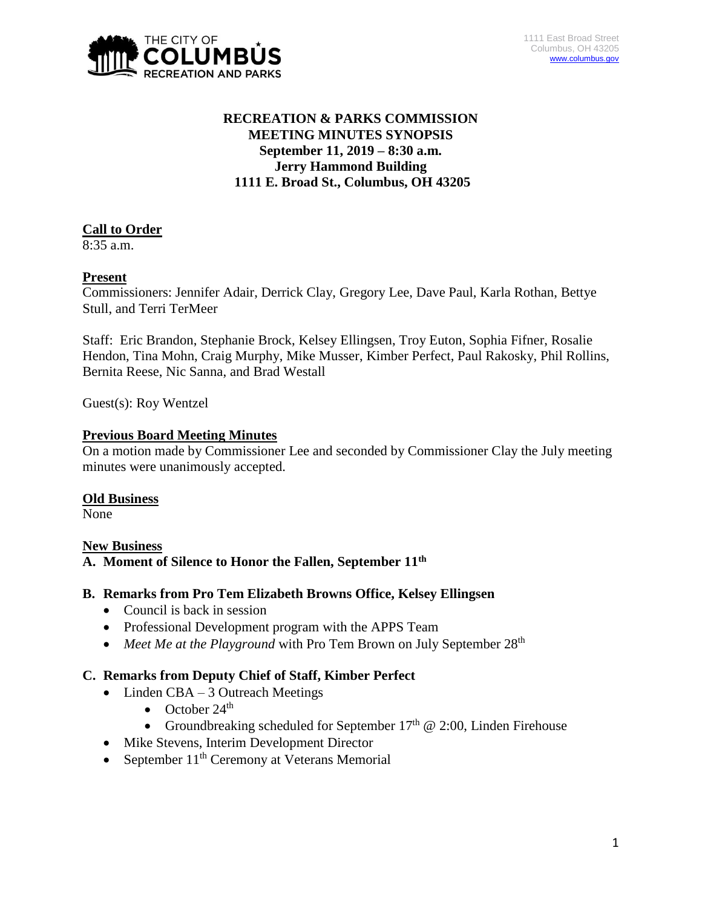

# **RECREATION & PARKS COMMISSION MEETING MINUTES SYNOPSIS September 11, 2019 – 8:30 a.m. Jerry Hammond Building 1111 E. Broad St., Columbus, OH 43205**

# **Call to Order**

8:35 a.m.

# **Present**

Commissioners: Jennifer Adair, Derrick Clay, Gregory Lee, Dave Paul, Karla Rothan, Bettye Stull, and Terri TerMeer

Staff: Eric Brandon, Stephanie Brock, Kelsey Ellingsen, Troy Euton, Sophia Fifner, Rosalie Hendon, Tina Mohn, Craig Murphy, Mike Musser, Kimber Perfect, Paul Rakosky, Phil Rollins, Bernita Reese, Nic Sanna, and Brad Westall

Guest(s): Roy Wentzel

#### **Previous Board Meeting Minutes**

On a motion made by Commissioner Lee and seconded by Commissioner Clay the July meeting minutes were unanimously accepted.

#### **Old Business**

None

# **New Business**

# **A. Moment of Silence to Honor the Fallen, September 11th**

#### **B. Remarks from Pro Tem Elizabeth Browns Office, Kelsey Ellingsen**

- Council is back in session
- Professional Development program with the APPS Team
- *Meet Me at the Playground* with Pro Tem Brown on July September 28<sup>th</sup>

# **C. Remarks from Deputy Chief of Staff, Kimber Perfect**

- Linden CBA 3 Outreach Meetings
	- October  $24<sup>th</sup>$
	- Groundbreaking scheduled for September  $17<sup>th</sup>$  @ 2:00, Linden Firehouse
- Mike Stevens, Interim Development Director
- September  $11<sup>th</sup>$  Ceremony at Veterans Memorial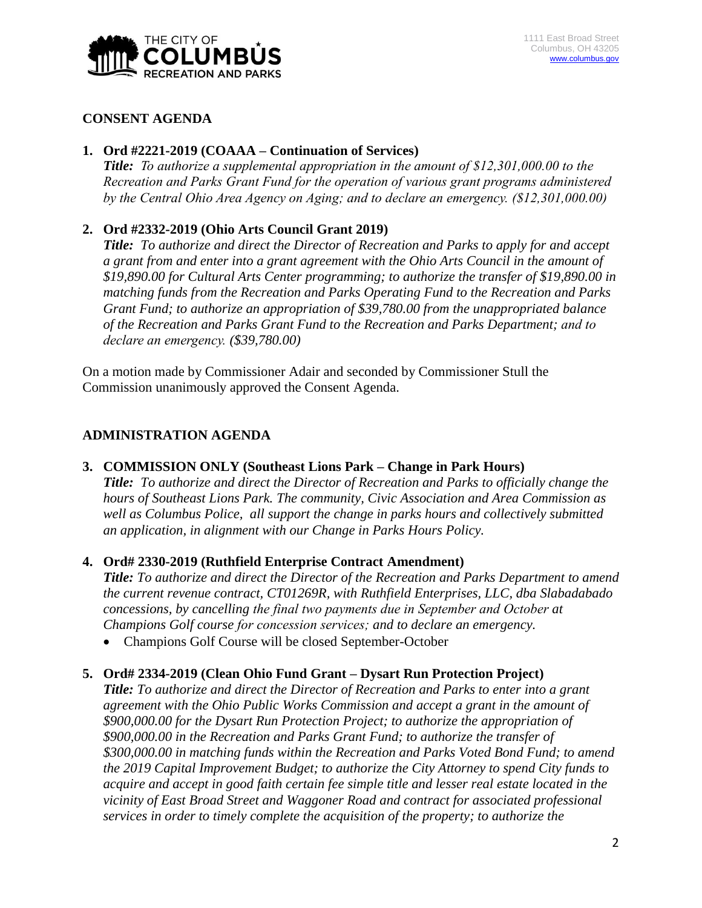

#### **CONSENT AGENDA**

#### **1. Ord #2221-2019 (COAAA – Continuation of Services)**

*Title: To authorize a supplemental appropriation in the amount of \$12,301,000.00 to the Recreation and Parks Grant Fund for the operation of various grant programs administered by the Central Ohio Area Agency on Aging; and to declare an emergency. (\$12,301,000.00)*

# **2. Ord #2332-2019 (Ohio Arts Council Grant 2019)**

*Title: To authorize and direct the Director of Recreation and Parks to apply for and accept a grant from and enter into a grant agreement with the Ohio Arts Council in the amount of \$19,890.00 for Cultural Arts Center programming; to authorize the transfer of \$19,890.00 in matching funds from the Recreation and Parks Operating Fund to the Recreation and Parks Grant Fund; to authorize an appropriation of \$39,780.00 from the unappropriated balance of the Recreation and Parks Grant Fund to the Recreation and Parks Department; and to declare an emergency. (\$39,780.00)*

On a motion made by Commissioner Adair and seconded by Commissioner Stull the Commission unanimously approved the Consent Agenda.

# **ADMINISTRATION AGENDA**

#### **3. COMMISSION ONLY (Southeast Lions Park – Change in Park Hours)**

*Title: To authorize and direct the Director of Recreation and Parks to officially change the hours of Southeast Lions Park. The community, Civic Association and Area Commission as well as Columbus Police, all support the change in parks hours and collectively submitted an application, in alignment with our Change in Parks Hours Policy.* 

# **4. Ord# 2330-2019 (Ruthfield Enterprise Contract Amendment)**

*Title: To authorize and direct the Director of the Recreation and Parks Department to amend the current revenue contract, CT01269R, with Ruthfield Enterprises, LLC, dba Slabadabado concessions, by cancelling the final two payments due in September and October at Champions Golf course for concession services; and to declare an emergency.*

• Champions Golf Course will be closed September-October

#### **5. Ord# 2334-2019 (Clean Ohio Fund Grant – Dysart Run Protection Project)**

*Title: To authorize and direct the Director of Recreation and Parks to enter into a grant agreement with the Ohio Public Works Commission and accept a grant in the amount of \$900,000.00 for the Dysart Run Protection Project; to authorize the appropriation of \$900,000.00 in the Recreation and Parks Grant Fund; to authorize the transfer of \$300,000.00 in matching funds within the Recreation and Parks Voted Bond Fund; to amend the 2019 Capital Improvement Budget; to authorize the City Attorney to spend City funds to acquire and accept in good faith certain fee simple title and lesser real estate located in the vicinity of East Broad Street and Waggoner Road and contract for associated professional services in order to timely complete the acquisition of the property; to authorize the*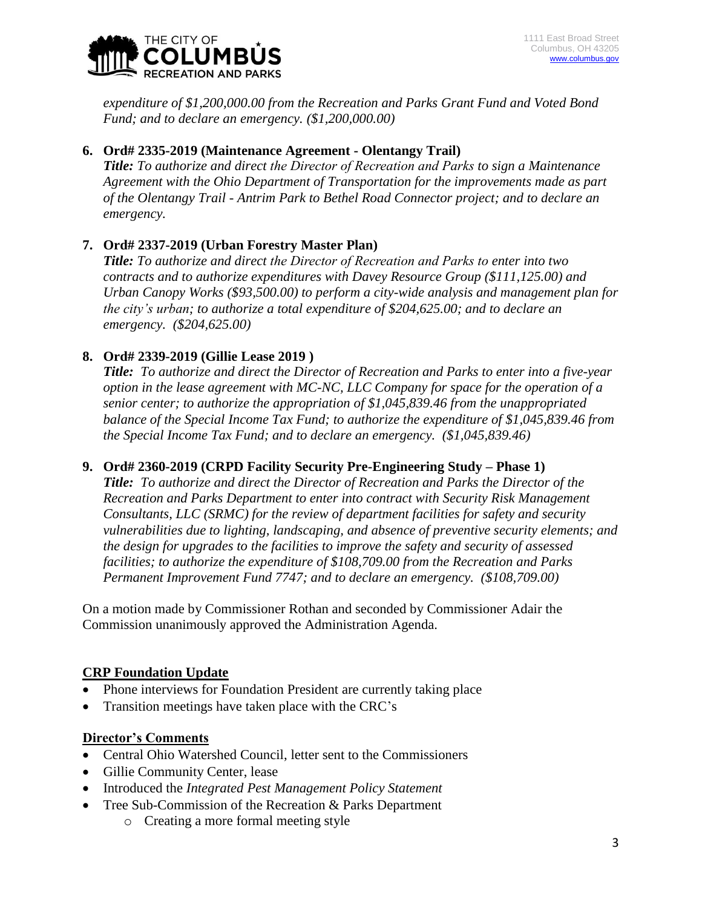

*expenditure of \$1,200,000.00 from the Recreation and Parks Grant Fund and Voted Bond Fund; and to declare an emergency. (\$1,200,000.00)*

# **6. Ord# 2335-2019 (Maintenance Agreement - Olentangy Trail)**

*Title: To authorize and direct the Director of Recreation and Parks to sign a Maintenance Agreement with the Ohio Department of Transportation for the improvements made as part of the Olentangy Trail - Antrim Park to Bethel Road Connector project; and to declare an emergency.*

# **7. Ord# 2337-2019 (Urban Forestry Master Plan)**

*Title: To authorize and direct the Director of Recreation and Parks to enter into two contracts and to authorize expenditures with Davey Resource Group (\$111,125.00) and Urban Canopy Works (\$93,500.00) to perform a city-wide analysis and management plan for the city's urban; to authorize a total expenditure of \$204,625.00; and to declare an emergency. (\$204,625.00)*

# **8. Ord# 2339-2019 (Gillie Lease 2019 )**

*Title: To authorize and direct the Director of Recreation and Parks to enter into a five-year option in the lease agreement with MC-NC, LLC Company for space for the operation of a senior center; to authorize the appropriation of \$1,045,839.46 from the unappropriated balance of the Special Income Tax Fund; to authorize the expenditure of \$1,045,839.46 from the Special Income Tax Fund; and to declare an emergency. (\$1,045,839.46)*

# **9. Ord# 2360-2019 (CRPD Facility Security Pre-Engineering Study – Phase 1)**

*Title: To authorize and direct the Director of Recreation and Parks the Director of the Recreation and Parks Department to enter into contract with Security Risk Management Consultants, LLC (SRMC) for the review of department facilities for safety and security vulnerabilities due to lighting, landscaping, and absence of preventive security elements; and the design for upgrades to the facilities to improve the safety and security of assessed facilities; to authorize the expenditure of \$108,709.00 from the Recreation and Parks Permanent Improvement Fund 7747; and to declare an emergency. (\$108,709.00)*

On a motion made by Commissioner Rothan and seconded by Commissioner Adair the Commission unanimously approved the Administration Agenda.

# **CRP Foundation Update**

- Phone interviews for Foundation President are currently taking place
- Transition meetings have taken place with the CRC's

#### **Director's Comments**

- Central Ohio Watershed Council, letter sent to the Commissioners
- Gillie Community Center, lease
- Introduced the *Integrated Pest Management Policy Statement*
- Tree Sub-Commission of the Recreation & Parks Department
	- o Creating a more formal meeting style